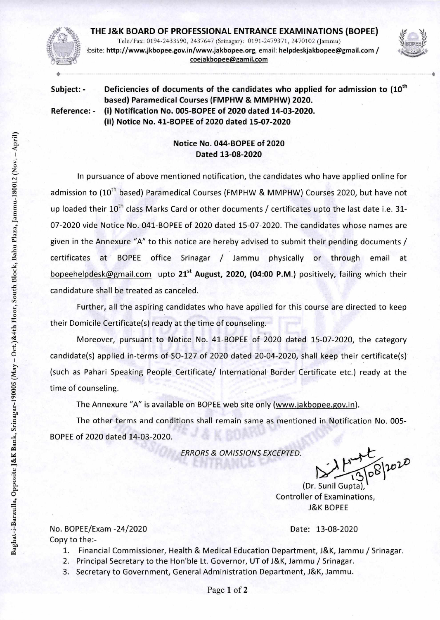

**THE J&K BOARD OF PROFESSIONAL ENTRANCE EXAMINATIONS (BOPEE)**  Tele/Fax: 0194-2433590, 2437647 (Srinagar): 0191-2479371, 2470102 (Jammu) bsite: http://www.jkbopee.gov.in/www.jakbopee.org, email: helpdeskjakbopee@gmail.com/ coejakbopee@gamil.com



Subject: - Deficiencies of documents of the candidates who applied for admission to (10<sup>th</sup> **based) Paramedical Courses (FMPHW & MMPHW) 2020. Reference: - (i) Notification No. 005-BOPEE of 2020 dated 14-03-2020. (ii) Notice No. 41-BOPEE of 2020 dated 15-07-2020** 

## **Notice No. 044-BOPEE of 2020 Dated 13-08-2020**

In pursuance of above mentioned notification, the candidates who have applied online for admission to (10<sup>th</sup> based) Paramedical Courses (FMPHW & MMPHW) Courses 2020, but have not up loaded their  $10^{th}$  class Marks Card or other documents / certificates upto the last date i.e. 31-07-2020 vide Notice No. 041-BOPEE of 2020 dated 15-07-2020. The candidates whose names are given in the Annexure "A" to this notice are hereby advised to submit their pending documents / certificates at BOPEE office Srinagar / Jammu physically or through email at bopeehelpdesk@gmail.com upto 21<sup>st</sup> August, 2020, (04:00 P.M.) positively, failing which their candidature shall be treated as canceled.

Further, all the aspiring candidates who have applied for this course are directed to keep their Domicile Certificate(s) ready at the time of counseling.

Moreover, pursuant to Notice No. 41-BOPEE of 2020 dated 15-07-2020, the category candidate(s) applied in-terms of SO-127 of 2020 dated 20-04-2020, shall keep their certificate(s) (such as Pahari Speaking People Certificate/ International Border Certificate etc.) ready at the time of counseling.

The Annexure "A" is available on BOPEE web site only (www.jakbopee.gov.in).

The other terms and conditions shall remain same as mentioned in Notification No. 005- BOPEE of 2020 dated 14-03-2020.

ERRORS & OMISSIONS EXCEPTED.

N-13/08/2

(Dr. Suni Controller of Examinations, J&K BOPEE

No. BOPEE/Exam -24/2020 Date: 13-08-2020 Copy to the:-

- 1. Financial Commissioner, Health & Medical Education Department, J&K, Jammu / Srinagar.
- 2. Principal Secretary to the Hon'ble Lt. Governor, UT of J&K, Jammu / Srinagar.
- 3. Secretary to Government, General Administration Department, J&K, Jammu.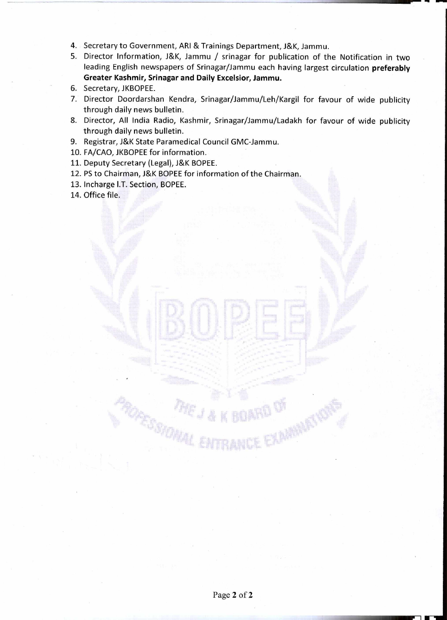- 4. Secretary to Government, ARI & Trainings Department, J&K, Jammu.
- 5. Director Information, J&K, Jammu / srinagar for publication of the Notification in two leading English newspapers of Srinagar/Jammu each having largest circulation **preferably Greater Kashmir, Srinagar and Daily Excelsior, Jammu.**
- 6. Secretary, JKBOPEE.
- 7. Director Doordarshan Kendra, Srinagar/Jammu/Leh/Kargil for favour of wide publicity through daily news bulletin.
- 8. Director, All India Radio, Kashmir, Srinagar/Jammu/Ladakh for favour of wide publicity through daily news bulletin.
- 9. Registrar, J&K State Paramedical Council GMC-Jammu.
- 10. FA/CAO, JKBOPEE for information.
- 11. Deputy Secretary (Legal), J&K BOPEE.
- 12. PS to Chairman, J&K BOPEE for information of the Chairman.
- 13. Incharge I.T. Section, BOPEE.
- 14. Office file.

...11111111 <sup>W</sup>-1 111— •